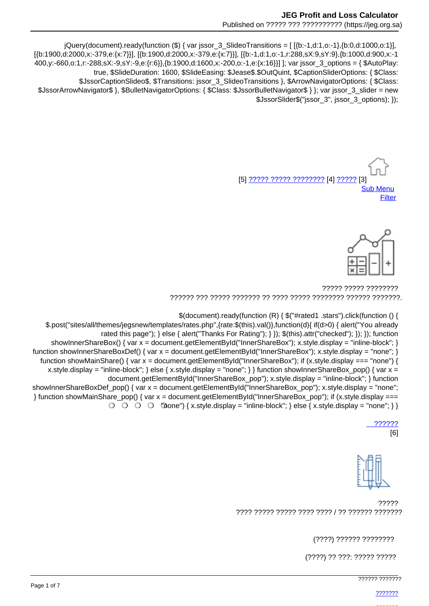jQuery(document).ready(function (\$) { var jssor\_3\_SlideoTransitions = [[{b:-1,d:1,o:-1},{b:0,d:1000,o:1}], [{b:1900.d:2000.x:-379.e:{x:7}}], [{b:1900.d:2000.x:-379.e:{x:7}}], [{b:-1.d:1.o:-1.r:288.sX:9.sY:9}, {b:1000.d:900.x:-1 400,y:-660,o:1,r:-288,sX:-9,sY:-9,e:{r:6}},{b:1900,d:1600,x:-200,o:-1,e:{x:16}}] ]; var jssor\_3\_options = { \$AutoPlay: true, \$SlideDuration: 1600, \$SlideEasing: \$Jease\$.\$OutQuint, \$CaptionSliderOptions: { \$Class: \$JssorCaptionSlideo\$, \$Transitions: jssor\_3\_SlideoTransitions }, \$ArrowNavigatorOptions: { \$Class: \$JssorArrowNavigator\$ }, \$BulletNavigatorOptions: { \$Class: \$JssorBulletNavigator\$ } }; var jssor\_3\_slider = new \$JssorSlider\$("jssor 3", jssor 3 options); });

> [5] <u>????? ????? ?????????</u> [4] <u>?????</u> [3] **Sub Menu** Filter



## 77777 77777 77777777

\$(document).ready(function (R) { \$("#rated1 .stars").click(function () {

\$.post("sites/all/themes/jegsnew/templates/rates.php",{rate:\$(this).val()},function(d){ if(d>0) { alert("You already rated this page"); } else { alert("Thanks For Rating"); } }); \$(this).attr("checked"); }); }); function showInnerShareBox() { var  $x =$  document.getElementById("InnerShareBox"); x.style.display = "inline-block"; } function showInnerShareBoxDef() { var  $x =$  document.getElementBvId("InnerShareBox"): x.style.display = "none"; } function showMainShare() { var  $x =$  document.getElementById("InnerShareBox"); if (x.style.display === "none") { x.style.display = "inline-block"; } else { x.style.display = "none"; } } function showInnerShareBox pop() { var  $x =$ document.getElementById("InnerShareBox pop"); x.style.display = "inline-block"; } function showInnerShareBoxDef\_pop() { var x = document.getElementById("InnerShareBox\_pop"); x.style.display = "none"; } function showMainShare\_pop() { var x = document.getElementById("InnerShareBox\_pop"); if (x.style.display ===  $\overline{O}$   $\overline{O}$   $\overline{O}$   $\overline{O}$   $\overline{O}$   $\overline{O}$   $\overline{O}$   $\overline{O}$   $\overline{O}$   $\overline{O}$   $\overline{O}$   $\overline{O}$   $\overline{O}$   $\overline{O}$   $\overline{O}$   $\overline{O}$   $\overline{O}$   $\overline{O}$   $\overline{O}$   $\overline{O}$   $\overline{O}$   $\overline{O}$   $\overline{O}$   $\overline{O}$   $\overline{$ 

> 777777  $[6]$



77777 

(????) ?????? ????????

(????) ?? ???: ????? ?????

777777 7777777

???????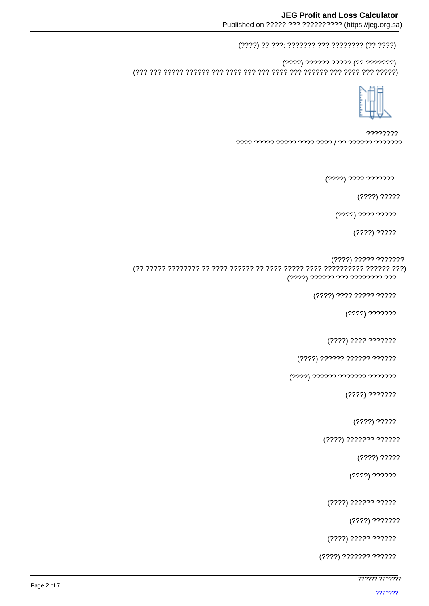(????) ?? ???: ??????? ??? ???????? (?? ????)

(????) ?????? ????? (?? ???????) 



???????? 

(????) ???? ???????

 $(?????)$  ?????

(????) ???? ?????

 $(?????)$  ?????

(????) ????? ??????? (????) ?????? ??? ???????? ???

(????) ???? ????? ?????

 $(?????) ?????????$ 

(????) ???? ???????

(????) ?????? ?????? ??????

(????) ?????? ??????? ???????

(????) ???????

 $(?????)$  ?????

(????) ??????? ??????

 $(?????)$  ?????

 $(?????) ????????$ 

(????) ?????? ?????

(????) ???????

(????) ????? ??????

(????) ??????? ??????

777777 7777777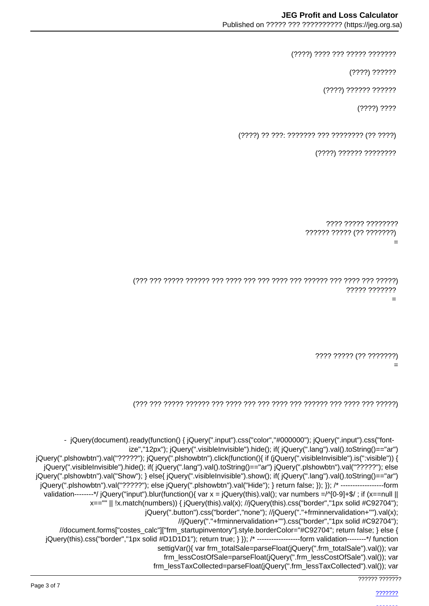??????? ????? ??? ???? (????)

?????? (????)

?????? ?????? (????)

???? (????)

(???? ??) ???????? ??? ??????? :??? ?? (????)

???????? ?????? (????)

???????? ????? ???? ?????? ????? (?? ???????) =

(????? ??? ???? ??? ?????? ??? ???? ??? ??? ???? ??? ?????? ????? ??? ???) ??????? ????? =

> (??????? ??) ????? ???? =

(????? ??? ???? ??? ?????? ??? ???? ??? ??? ???? ??? ?????? ????? ??? ???)

```
- jQuery(document).ready(function() { jQuery(".jnput").css("color"."#000000"): jQuery(".jnput").css("font-
                              ize","12px"); jQuery(".visibleInvisible").hide(); if( jQuery(".lang").val().toString()=="ar")
jQuery(".plshowbtn").val("?????"); jQuery(".plshowbtn").click(function(){ if (jQuery(".visiblelnvisible").is(":visible")) {
  jQuery(".visibleInvisible").hide(); if(jQuery(".lang").val().toString()=="ar") jQuery(".plshowbtn").val("?????"); else
("artiongly").val.").val."Show"); } else{ jQuery(".visibleInvisible").show(); if( jQuery(".lang").val().toString()=="ar")
 form------------------* /; }); }); false return"); } Hide("val.")plshowbtn.("jQuery else("?????"); val.")plshowbtn.("jQuery
  validation--------*/ jQuery("input").blur(function(){ var x = jQuery(this).val(); var numbers =/^[0-9]+$/; if (x==null ||
                 x=="" || !x.match(numbers)) { jQuery(this).val(x); //jQuery(this).css("border","1px solid #C92704");
                                    jQuery(".button").css("border","none"); //jQuery("."+frminnervalidation+"").val(x);
                                               //jQuery("."+frminnervalidation+"").css("border","1px solid #C92704");
       //document.forms["costes_calc"]["frm_startupinventory"].style.borderColor="#C92704"; return false; } else {
   jQuery(this).css("border", "1px solid #D1D1D1"); return true; }); /* --------------------form validation--------*/ function
                                        settigVar(){ var frm_totalSale=parseFloat(jQuery(".frm_totalSale").val()); var
                                          frm_lessCostOfSale=parseFloat(jQuery(".frm_lessCostOfSale").val()); var
                                      frm_lessTaxCollected=parseFloat(jQuery(".frm_lessTaxCollected").val());    var
                                                                                                           ??????? ??????
```
......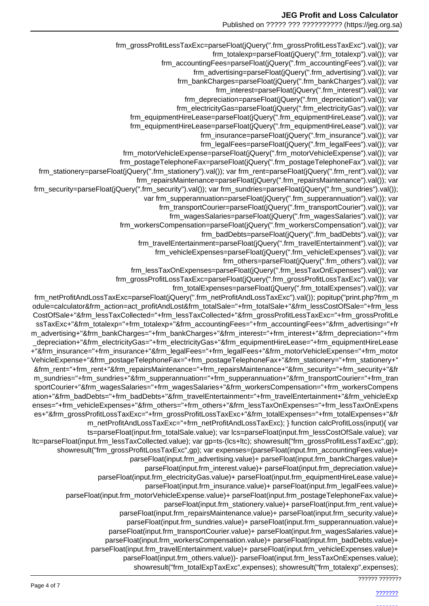## **JEG Profit and Loss Calculator** Published on ????? ??? ??????????? (https://ieg.org.sa)

frm\_grossProfitLessTaxExc=parseFloat(jQuery(".frm\_grossProfitLessTaxExc").val()); var frm\_totalexp=parseFloat(iQuery(".frm\_totalexp").val()); var frm\_accountingFees=parseFloat(jQuery(".frm\_accountingFees").val()); var frm advertising=parseFloat(jQuery(".frm advertising").val()); var frm\_bankCharges=parseFloat(jQuery(".frm\_bankCharges").val()); var frm\_interest=parseFloat(jQuery(".frm\_interest").val()); var frm depreciation=parseFloat(jQuery(".frm depreciation").val()); var frm electricityGas=parseFloat(jQuery(".frm electricityGas").val()); var frm\_equipmentHireLease=parseFloat(jQuery(".frm\_equipmentHireLease").val()); var frm\_equipmentHireLease=parseFloat(jQuery(".frm\_equipmentHireLease").val()); var frm insurance=parseFloat(jQuery(".frm insurance").val()); var frm\_legalFees=parseFloat(jQuery(".frm\_legalFees").val()); var frm motorVehicleExpense=parseFloat(jQuery(".frm motorVehicleExpense").val()); var frm postageTelephoneFax=parseFloat(jQuery(".frm postageTelephoneFax").val()); var frm stationery=parseFloat(jQuery(".frm stationery").val()); var frm rent=parseFloat(jQuery(".frm rent").val()); var frm repairsMaintenance=parseFloat(iQuery(".frm repairsMaintenance").val()); var frm security=parseFloat(jQuery(".frm security").val()); var frm sundries=parseFloat(jQuery(".frm sundries").val()); var frm\_supperannuation=parseFloat(jQuery(".frm\_supperannuation").val()); var frm\_transportCourier=parseFloat(jQuery(".frm\_transportCourier").val()); var frm wagesSalaries=parseFloat(jQuery(".frm wagesSalaries").val()); var frm workersCompensation=parseFloat(iQuery(".frm workersCompensation").val()); var frm\_badDebts=parseFloat(iQuery(".frm\_badDebts").val()); var frm travelEntertainment=parseFloat(jQuery(".frm travelEntertainment").val()); var frm vehicleExpenses=parseFloat(iQuery(".frm vehicleExpenses").val()); var frm\_others=parseFloat(jQuery(".frm\_others").val()); var frm lessTaxOnExpenses=parseFloat(jQuery(".frm lessTaxOnExpenses").val()); var frm\_grossProfitLossTaxExc=parseFloat(jQuery(".frm\_grossProfitLossTaxExc").val()); var frm totalExpenses=parseFloat(iQuery(".frm totalExpenses").val()); var frm\_netProfitAndLossTaxExc=parseFloat(jQuery(".frm\_netProfitAndLossTaxExc").val()); popitup("print.php?frm\_m odule=calculator&frm\_action=act\_profitAndLost&frm\_totalSale="+frm\_totalSale+"&frm\_lessCostOfSale="+frm\_less CostOfSale+"&frm\_lessTaxCollected="+frm\_lessTaxCollected+"&frm\_grossProfitLessTaxExc="+frm\_grossProfitLe ssTaxExc+"&frm totalexp="+frm totalexp+"&frm accountingFees="+frm accountingFees+"&frm advertising="+fr m\_advertising+"&frm\_bankCharges="+frm\_bankCharges+"&frm\_interest="+frm\_interest+"&frm\_depreciation="+frm \_depreciation+"&frm\_electricityGas="+frm\_electricityGas+"&frm\_equipmentHireLease="+frm\_equipmentHireLease +"&frm insurance="+frm insurance+"&frm legalFees="+frm legalFees+"&frm motorVehicleExpense="+frm motor "YehicleExpense+"&frm\_postageTelephoneFax="+frm\_postageTelephoneFax+"&frm\_stationery="+frm\_stationery+ &frm rent="+frm rent+"&frm repairsMaintenance="+frm repairsMaintenance+"&frm security="+frm security+"&fr m\_sundries="+frm\_sundries+"&frm\_supperannuation="+frm\_supperannuation+"&frm\_transportCourier="+frm\_tran sportCourier+"&frm wagesSalaries="+frm wagesSalaries+"&frm workersCompensation="+frm workersCompens ation+"&frm\_badDebts="+frm\_badDebts+"&frm\_travelEntertainment="+frm\_travelEntertainment+"&frm\_vehicleExp enses="+frm\_vehicleExpenses+"&frm\_others="+frm\_others+"&frm\_lessTaxOnExpenses="+frm\_lessTaxOnExpens es+"&frm\_grossProfitLossTaxExc="+frm\_grossProfitLossTaxExc+"&frm\_totalExpenses="+frm\_totalExpenses+"&fr m netProfitAndLossTaxExc="+frm netProfitAndLossTaxExc); } function calcProfitLoss(input){ var ts=parseFloat(input.frm\_totalSale.value); var lcs=parseFloat(input.frm\_lessCostOfSale.value); var ltc=parseFloat(input.frm lessTaxCollected.value); var gp=ts-(lcs+ltc); showresult("frm grossProfitLessTaxExc",gp); showresult("frm\_grossProfitLossTaxExc".gp); var expenses=(parseFloat(input.frm\_accountingFees.value)+ parseFloat(input.frm\_advertising.value)+ parseFloat(input.frm\_bankCharges.value)+ parseFloat(input.frm\_interest.value)+ parseFloat(input.frm\_depreciation.value)+ parseFloat(input.frm\_electricityGas.value)+ parseFloat(input.frm\_equipmentHireLease.value)+ parseFloat(input.frm\_insurance.value)+ parseFloat(input.frm\_legalFees.value)+ parseFloat(input.frm\_motorVehicleExpense.value)+ parseFloat(input.frm\_postageTelephoneFax.value)+ parseFloat(input.frm\_stationery.value)+ parseFloat(input.frm\_rent.value)+ parseFloat(input.frm\_repairsMaintenance.value)+ parseFloat(input.frm\_security.value)+ parseFloat(input.frm\_sundries.value)+ parseFloat(input.frm\_supperannuation.value)+ parseFloat(input.frm\_transportCourier.value)+ parseFloat(input.frm\_wagesSalaries.value)+ parseFloat(input.frm\_workersCompensation.value)+ parseFloat(input.frm\_badDebts.value)+ parseFloat(input.frm.travelEntertainment.value)+ parseFloat(input.frm.vehicleExpenses.value)+ parseFloat(input.frm\_others.value))- parseFloat(input.frm\_lessTaxOnExpenses.value); showresult("frm\_totalExpTaxExc",expenses); showresult("frm\_totalexp",expenses);

......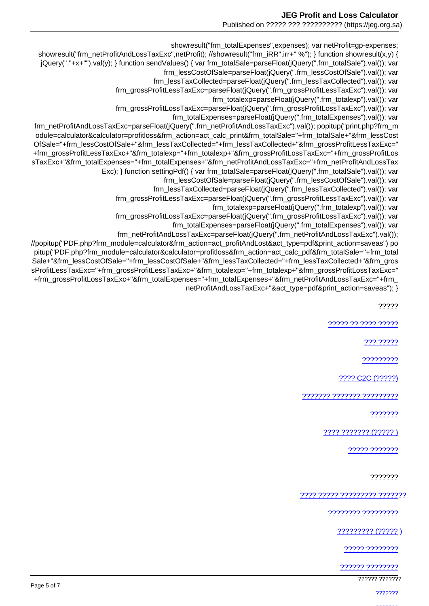showresult("frm\_totalExpenses", expenses); var netProfit=gp-expenses;

showresult "frm\_netProfitAndLossTaxExc".netProfit); //showresult ("frm\_iRR".irr+"%"); } function showresult(x.v) { jQuery("."+x+"").val(y); } function sendValues() { var frm\_totalSale=parseFloat(jQuery(".frm\_totalSale").val()); var

frm lessCostOfSale=parseFloat(jQuery(".frm lessCostOfSale").val()); var

frm\_lessTaxCollected=parseFloat(jQuery(".frm\_lessTaxCollected").val()); var

frm\_grossProfitLessTaxExc=parseFloat(jQuery(".frm\_grossProfitLessTaxExc").val()); var

frm totalexp=parseFloat(jQuery(".frm totalexp").val()); var

frm grossProfitLossTaxExc=parseFloat(jQuery(".frm\_grossProfitLossTaxExc").val()); var

frm\_totalExpenses=parseFloat(jQuery(".frm\_totalExpenses").val()); var

frm\_netProfitAndLossTaxExc=parseFloat(jQuery(".frm\_netProfitAndLossTaxExc").val()); popitup("print.php?frm\_m odule=calculator&calculator=profitloss&frm action=act calc print&frm totalSale="+frm totalSale+"&frm lessCost "OfSale="+frm\_lessCostOfSale+"&frm\_lessTaxCollected="+frm\_lessTaxCollected+"&frm\_grossProfitLessTaxExc=" +frm grossProfitLessTaxExc+"&frm totalexp="+frm totalexp+"&frm grossProfitLossTaxExc="+frm grossProfitLos sTaxExc+"&frm totalExpenses="+frm totalExpenses+"&frm netProfitAndLossTaxExc="+frm netProfitAndLossTax Exc); { function settingPdf() { var frm totalSale=parseFloat(iQuery(".frm totalSale").val()); var

frm lessCostOfSale=parseFloat(jQuery(".frm lessCostOfSale").val()); var

frm lessTaxCollected=parseFloat(jQuery(".frm lessTaxCollected").val()); var

frm\_grossProfitLessTaxExc=parseFloat(jQuery(".frm\_grossProfitLessTaxExc").val()); var

frm\_totalexp=parseFloat(jQuery(".frm\_totalexp").val()); var

frm\_grossProfitLossTaxExc=parseFloat(jQuery(".frm\_grossProfitLossTaxExc").val()); var

frm totalExpenses=parseFloat(jQuery(".frm totalExpenses").val()); var

frm netProfitAndLossTaxExc=parseFloat(jQuery(".frm netProfitAndLossTaxExc").val());

//popitup("PDF.php?frm\_module=calculator&frm\_action=act\_profitAndLost&act\_type=pdf&print\_action=saveas") po pitup("PDF.php?frm\_module=calculator&calculator=profitloss&frm\_action=act\_calc\_pdf&frm\_totalSale="+frm\_total Sale+"&frm\_lessCostOfSale="+frm\_lessCostOfSale+"&frm\_lessTaxCollected="+frm\_lessTaxCollected+"&frm\_gros sProfitLessTaxExc="+frm grossProfitLessTaxExc+"&frm totalexp="+frm totalexp+"&frm grossProfitLossTaxExc=" +frm\_grossProfitLossTaxExc+"&frm\_totalExpenses="+frm\_totalExpenses+"&frm\_netProfitAndLossTaxExc="+frm\_ netProfitAndLossTaxExc+"&act type=pdf&print action=saveas"); }

?????

[????? ???? ?? ?????](https://jeg.org.sa/?q=ar/findpartner/home)

????????

[?????????](https://jeg.org.sa/?q=ar/tenders)

???? C2C (?????)

[????????? ??????? ???????](https://jeg.org.sa/?q=ar/sme/home)

[???????](https://jeg.org.sa/?q=ar/consultation)

[\( ?????\) ??????? ????](https://jeg.org.sa/?q=ar/void%280%29)

[??????? ?????](https://jeg.org.sa/?q=ar/libraryForm)

???????

???? ????? ???????? ???????

[????????? ????????](https://jeg.org.sa/?q=ar/publications)

( [?????\) ?????????](https://jeg.org.sa/?q=ar/void%280%29)

[???????? ?????](https://jeg.org.sa/?q=ar/exportsdevelopment)

[???????? ??????](https://jeg.org.sa/?q=ar/delegation)

??????? ??????

[???????](https://jeg.org.sa/?q=ar/businesssectors/464) ......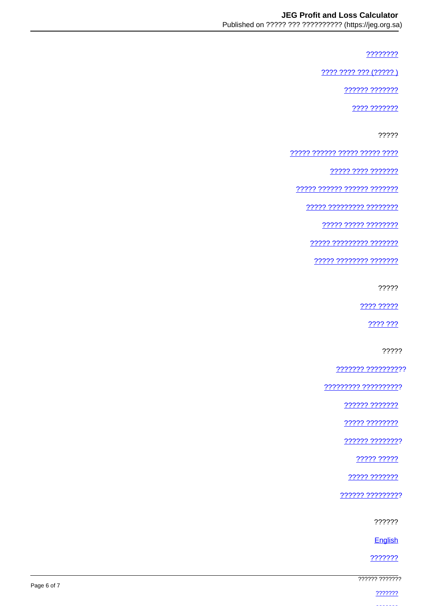????????

???? ???? ??? (????? )

?????? ???????

???? ???????

?????

77777 777777 77777 77777 7777

????? ???? ???????

77777 777777 777777 7777777

77777 777777777 77777777

77777 77777 77777777

????? ????????? ???????

77777 77777777 7777777

?????

???? ?????

???? ???

?????

??????? ??????????

77777777 7777777777

?????? ???????

????? ????????

?????? ????????

????? ?????

22222 2222222

?????? ?????????

??????

English

???????

777777 7777777

2222222